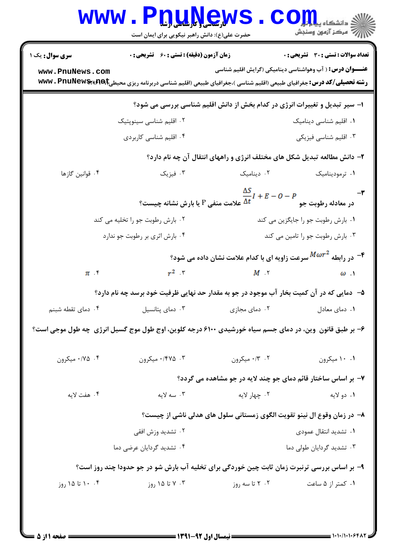| <b>WWW</b>                                                                                                 | <u>nunews</u><br>حضرت علی(ع): دانش راهبر نیکویی برای ایمان است                                                   |                                                                                                                            | تح دانشگاه پ <b>یا پایال</b><br><i>إل<sup>ي</sup> مرڪ</i> ز آزمون وسنڊش |  |  |  |
|------------------------------------------------------------------------------------------------------------|------------------------------------------------------------------------------------------------------------------|----------------------------------------------------------------------------------------------------------------------------|-------------------------------------------------------------------------|--|--|--|
| <b>سری سوال :</b> یک ۱                                                                                     | <b>زمان آزمون (دقیقه) : تستی : 60 ٪ تشریحی : 0</b>                                                               |                                                                                                                            | تعداد سوالات : تستى : 30 - تشريحي : 0                                   |  |  |  |
| www.PnuNews.com                                                                                            | رشته تحصیلی/کد درس: جغرافیای طبیعی (اقلیم شناسی )،جغرافیای طبیعی (اقلیم شناسی دربرنامه ریزی محیطی۱۶۹۹/۲۹۶۲ . www |                                                                                                                            | <b>عنـــوان درس:</b> ( آب وهواشناسی دینامیکی (گرایش اقلیم شناسی         |  |  |  |
| ۱– سیر تبدیل و تغییرات انرژی در کدام بخش از دانش اقلیم شناسی بررسی می شود؟                                 |                                                                                                                  |                                                                                                                            |                                                                         |  |  |  |
|                                                                                                            | ۰۲ اقلیم شناسی سینوپتیک                                                                                          |                                                                                                                            | ٠١ اقليم شناسى ديناميك                                                  |  |  |  |
|                                                                                                            | ۰۴ اقلیم شناسی کاربردی                                                                                           |                                                                                                                            | ۰۳ اقلیم شناسی فیزیکی                                                   |  |  |  |
|                                                                                                            | ۲- دانش مطالعه تبدیل شکل های مختلف انرژی و راههای انتقال آن چه نام دارد؟                                         |                                                                                                                            |                                                                         |  |  |  |
| ۰۴ قوانین گازها                                                                                            |                                                                                                                  | ۲. دینامیک سه ۲. فیزیک                                                                                                     | ۰۱ ترمودینامیک                                                          |  |  |  |
|                                                                                                            |                                                                                                                  | $\frac{\Delta S}{\Delta t}I+E=0-P$ در معادله رطوبت جو $P$ جا $\frac{\Delta S}{\Delta t}$ علامت منفی $P$ یا بارش نشانه چیست |                                                                         |  |  |  |
| ۰۲ بارش رطوبت جو را تخلیه می کند                                                                           |                                                                                                                  | ۰۱ بارش رطوبت جو را جایگزین می کند                                                                                         |                                                                         |  |  |  |
|                                                                                                            | ۰۴ بارش اثری بر رطوبت جو ندارد                                                                                   |                                                                                                                            | ۰۳ بارش رطوبت جو را تامین می کند                                        |  |  |  |
|                                                                                                            |                                                                                                                  | - در رابطه $M\omega r^2$ سرعت زاویه ای با کدام علامت نشان داده می شود $\epsilon$                                           |                                                                         |  |  |  |
| $\pi$ . $\zeta$                                                                                            | $r^2$ r                                                                                                          | $M \tIm$                                                                                                                   | $\omega$ .                                                              |  |  |  |
| ۵−٪ دمایی که در آن کمیت بخار آب موجود در جو به مقدار حد نهایی ظرفیت خود برسد چه نام دارد؟                  |                                                                                                                  |                                                                                                                            |                                                                         |  |  |  |
| ۰۴ دمای تقطه شبنم                                                                                          | ۰۳ دمای پتانسیل                                                                                                  | ۰۲ دمای مجازی                                                                                                              | ۰۱ دمای معادل                                                           |  |  |  |
| ۶- بر طبق قانون ۖ وین، در دمای جسم سیاه خورشیدی ۶۱۰۰ درجه کلوین، اوج طول موج گسیل انرژی ۖ چه طول موجی است؟ |                                                                                                                  |                                                                                                                            |                                                                         |  |  |  |
| ۰/۷۵ میکرون                                                                                                | ۰/۴۷۵ میکرون                                                                                                     | ۰/۳ ۰/۳ میکرون                                                                                                             | ۰.۱ میکرون                                                              |  |  |  |
|                                                                                                            |                                                                                                                  | ۷- بر اساس ساختار قائم دمای جو چند لایه در جو مشاهده می گردد؟                                                              |                                                                         |  |  |  |
| ۰۴ هفت لايه                                                                                                | ۰۳ سه لایه                                                                                                       | ۰۲ چهار لايه                                                                                                               | ۰۱ دو لايه                                                              |  |  |  |
| ۸– در زمان وقوع ال نینو تقویت الگوی زمستانی سلول های هدلی ناشی از چیست؟                                    |                                                                                                                  |                                                                                                                            |                                                                         |  |  |  |
|                                                                                                            | ۰۲ تشدید وزش افقی                                                                                                |                                                                                                                            | ٠١ تشديد انتقال عمودي                                                   |  |  |  |
| ۰۴ تشدید گردایان عرضی دما                                                                                  |                                                                                                                  | ۰۳ تشدید گردایان طولی دما                                                                                                  |                                                                         |  |  |  |
| ۹- بر اساس بررسی ترنبرت زمان ثابت چین خوردگی برای تخلیه آب بارش شو در جو حدودا چند روز است؟                |                                                                                                                  |                                                                                                                            |                                                                         |  |  |  |
| ۰۴ ۱۰ تا ۱۵ روز                                                                                            | ۰۳ تا ۱۵ روز                                                                                                     | ۲ . ۲ تا سه روز                                                                                                            | ۰۱ کمتر از ۵ ساعت                                                       |  |  |  |
|                                                                                                            |                                                                                                                  |                                                                                                                            |                                                                         |  |  |  |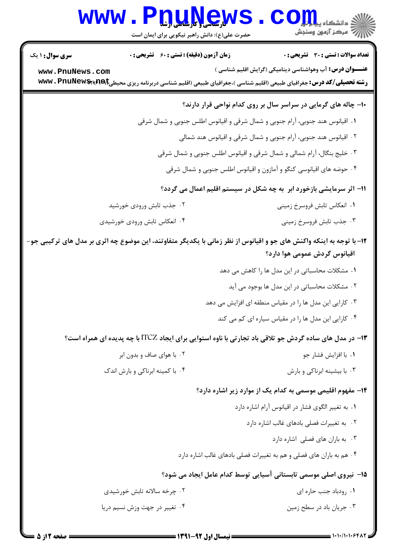|                               | <b>www.Pnunews</b><br>حضرت علی(ع): دانش راهبر نیکویی برای ایمان است                                                                | رآ مرڪز آزمون وسنڊش                                                           |
|-------------------------------|------------------------------------------------------------------------------------------------------------------------------------|-------------------------------------------------------------------------------|
| <b>سری سوال : ۱ یک</b>        | <b>زمان آزمون (دقیقه) : تستی : 60 ٪ تشریحی : 0</b>                                                                                 | تعداد سوالات : تستى : 30 - تشريحي : 0                                         |
| www.PnuNews.com               | <b>رشته تحصیلی/کد درس:</b> جغرافیای طبیعی (اقلیم شناسی )،جغرافیای طبیعی (اقلیم شناسی دربرنامه ریزی محیطی <b>؟۱۹۹ (wwv . PnuNew</b> | <b>عنـــوان درس:</b> آب وهواشناسی دینامیکی (گرایش اقلیم شناسی )               |
|                               |                                                                                                                                    | ۱۰- چاله های گرمایی در سراسر سال بر روی کدام نواحی قرار دارند؟                |
|                               |                                                                                                                                    | ٠١ اقيانوس هند جنوبي، آرام جنوبي و شمال شرقي و اقيانوس اطلس جنوبي و شمال شرقي |
|                               |                                                                                                                                    | ۰۲ اقیانوس هند جنوبی، آرام جنوبی و شمال شرقی و اقیانوس هند شمالی              |
|                               |                                                                                                                                    | ۰۳ خلیج بنگال، آرام شمالی و شمال شرقی و اقیانوس اطلس جنوبی و شمال شرقی        |
|                               |                                                                                                                                    | ۰۴ حوضه های اقیانوسی کنگو و آمازون و اقیانوس اطلس جنوبی و شمال شرقی           |
|                               |                                                                                                                                    | 11- اثر سرمایشی بازخورد ابر ً به چه شکل در سیستم اقلیم اعمال می گردد؟         |
|                               | ۰۲ جذب تابش ورودی خورشید                                                                                                           | ۰۱ انعکاس تابش فروسرخ زمینی                                                   |
|                               | ۰۴ انعکاس تابش ورودی خورشیدی                                                                                                       | ۰۳ جذب تابش فروسرخ زميني                                                      |
|                               | 1۲– با توجه به اینکه واکنش های جو و اقیانوس از نظر زمانی با یکدیگر متفاوتند، این موضوع چه اثری بر مدل های ترکیبی جو–               | اقیانوس گردش عمومی هوا دارد؟                                                  |
|                               |                                                                                                                                    | ۰۱ مشکلات محاسباتی در این مدل ها را کاهش می دهد                               |
|                               |                                                                                                                                    | ۰۲ مشکلات محاسباتی در این مدل ها بوجود می آید                                 |
|                               |                                                                                                                                    | ۰۳ کارایی این مدل ها را در مقیاس منطقه ای افزایش می دهد                       |
|                               |                                                                                                                                    | ۰۴ کارایی این مدل ها را در مقیاس سیاره ای کم می کند                           |
|                               | ۱۳- در مدل های ساده گردش جو تلاقی باد تجارتی با ناوه استوایی برای ایجاد ITCZ با چه پدیده ای همراه است؟                             |                                                                               |
|                               | ۰۲ با هوای صاف و بدون ابر                                                                                                          | ۰۱ با افزايش فشار جو                                                          |
|                               | ۰۴ با کمینه ابرناکی و بارش اندک                                                                                                    | ۰۳ با بیشینه ابرناکی و بارش                                                   |
|                               |                                                                                                                                    | ۱۴- مفهوم اقلیمی موسمی به کدام یک از موارد زیر اشاره دارد؟                    |
|                               |                                                                                                                                    | ٠. به تغيير الگوى فشار در اقيانوس آرام اشاره دارد                             |
|                               |                                                                                                                                    | ٢. به تغييرات فصلى بادهاى غالب اشاره دارد                                     |
|                               |                                                                                                                                    | ۰۳ به باران های فصلی اشاره دارد                                               |
|                               |                                                                                                                                    | ۰۴ هم به باران های فصلی و هم به تغییرات فصلی بادهای غالب اشاره دارد           |
|                               |                                                                                                                                    | ۱۵– نیروی اصلی موسمی تابستانی آسیایی توسط کدام عامل ایجاد می شود؟             |
|                               | ۰۲ چرخه سالانه تابش خورشیدی                                                                                                        | ۰۱ رودباد جنب حاره ای                                                         |
| ۰۴ تغییر در جهت وزش نسیم دریا |                                                                                                                                    | ۰۳ جریان باد در سطح زمین                                                      |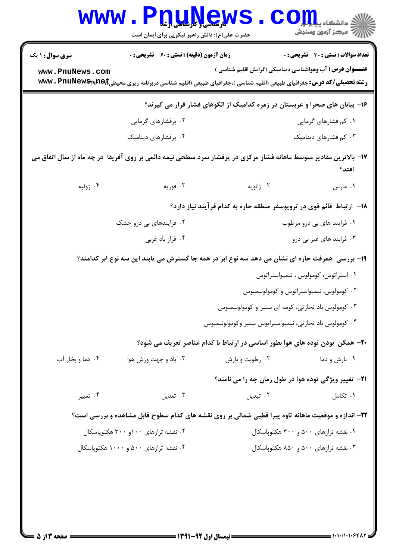|                                                                                                                             | www.P <u>nuŅe</u> ws<br>حضرت علی(ع): دانش راهبر نیکویی برای ایمان است |                                                                                                                                     | الاد دانشگاه پي <mark>ا و لور</mark><br>الا مرکز آزمون وسنجش    |  |  |
|-----------------------------------------------------------------------------------------------------------------------------|-----------------------------------------------------------------------|-------------------------------------------------------------------------------------------------------------------------------------|-----------------------------------------------------------------|--|--|
| <b>سری سوال : ۱ یک</b>                                                                                                      | <b>زمان آزمون (دقیقه) : تستی : 60 گشریحی : 0</b>                      |                                                                                                                                     | تعداد سوالات : تستي : 30 ٪ تشريحي : 0                           |  |  |
| www.PnuNews.com                                                                                                             |                                                                       | <b>رشته تحصیلی/کد درس:</b> جغرافیای طبیعی (اقلیم شناسی )،جغرافیای طبیعی (اقلیم شناسی دربرنامه ریزی محیطی <b>pe)\${\wwv . PnuNew</b> | <b>عنـــوان درس:</b> آب وهواشناسی دینامیکی (گرایش اقلیم شناسی ) |  |  |
| ۱۶- بیابان های صحرا و عربستان در زمره کدامیک از الگوهای فشار قرار می گیرند؟                                                 |                                                                       |                                                                                                                                     |                                                                 |  |  |
|                                                                                                                             | ۰۲ پرفشارهای گرمایی                                                   |                                                                                                                                     | ۰۱ کم فشارهای گرمایی                                            |  |  |
|                                                                                                                             | ۰۴ پرفشارهای دینامیک                                                  |                                                                                                                                     | ۰۳ کم فشارهای دینامیک                                           |  |  |
| ۱۷– بالاترین مقادیر متوسط ماهانه فشار مرکزی در پرفشار سرد سطحی نیمه دائمی بر روی آفریقا ًدر چه ماه از سال اتفاق می<br>افتد؟ |                                                                       |                                                                                                                                     |                                                                 |  |  |
| ۰۴ ژوئیه                                                                                                                    | ۰۳ فوریه                                                              | ۰۲ ژانویه                                                                                                                           | ۰۱ مارس                                                         |  |  |
|                                                                                                                             |                                                                       | ۱۸– ارتباط قائم قوی در تروپوسفر منطقه حاره به کدام فرآیند نیاز دارد؟                                                                |                                                                 |  |  |
| ۰۲ فرایندهای بی درو خشک                                                                                                     |                                                                       |                                                                                                                                     | ۰۱ فرایند های بی درو مرطوب                                      |  |  |
|                                                                                                                             | ۰۴ فراز باد غربي                                                      |                                                                                                                                     | ۰۳ فرابند های غیر بی درو                                        |  |  |
|                                                                                                                             |                                                                       | ۱۹- بررسی ًهمرفت حاره ای نشان می دهد سه نوع ابر در همه جا گسترش می یابند این سه نوع ابر کدامند؟                                     |                                                                 |  |  |
|                                                                                                                             |                                                                       |                                                                                                                                     | ۰۱ استراتوس، کومولوس ، نیمبواستراتوس                            |  |  |
|                                                                                                                             |                                                                       |                                                                                                                                     | ۰۲ کومولوس، نیمبواستراتوس و کومولونیمبوس                        |  |  |
|                                                                                                                             | ۰۳ کومولوس باد تجارتی، کومه ای ستبر و کومولونیمبوس                    |                                                                                                                                     |                                                                 |  |  |
|                                                                                                                             |                                                                       | ۰۴ کومولوس باد تجارتی، نیمبواستراتوس ستبر وکومولونیمبوس                                                                             |                                                                 |  |  |
|                                                                                                                             |                                                                       | ۲۰- همگن بودن توده های هوا بطور اساسی در ارتباط با کدام عناصر تعریف می شود؟                                                         |                                                                 |  |  |
| ۰۴ دما و بخار آب                                                                                                            | ۰۳ باد و جهت وزش هوا                                                  | ۰۲ رطوبت و بارش                                                                                                                     | ۰۱ بارش و دما                                                   |  |  |
|                                                                                                                             |                                                                       |                                                                                                                                     | <b>۲۱</b> - تغییر ویژگی توده هوا در طول زمان چه را می نامند؟    |  |  |
| ۰۴ تغییر                                                                                                                    | ۰۳ تعدیل                                                              | ۰۲ تبدیل                                                                                                                            | ۰۱ تکامل                                                        |  |  |
|                                                                                                                             |                                                                       | ۲۲- اندازه و موقعیت ماهانه تاوه پیرا قطبی شمالی بر روی نقشه های کدام سطوح قابل مشاهده و بررسی است؟                                  |                                                                 |  |  |
| ۰۱ نقشه ترازهای ۵۰۰ و ۳۰۰ هکتوپاسکال<br>۰۲ نقشه ترازهای ۱۰۰و ۳۰۰ هکتوپاسکال                                                 |                                                                       |                                                                                                                                     |                                                                 |  |  |
| ۰۴ نقشه ترازهای ۵۰۰ و ۱۰۰۰ هکتوپاسکال                                                                                       |                                                                       | ۰۳ نقشه ترازهای ۵۰۰ و ۸۵۰ هکتوپاسکال                                                                                                |                                                                 |  |  |
|                                                                                                                             |                                                                       |                                                                                                                                     |                                                                 |  |  |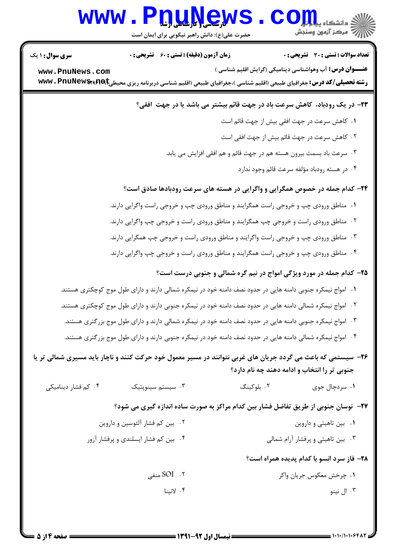# WWW.PnuNews.com

حضرت علی(ع): دانش راهبر نیکویی برای ایمان است

**تعداد سوالات : تستي : 30 - تشريحي : 0** 

**زمان آزمون (دقیقه) : تستی : 60 گشریحی: 0** 

**سری سوال : ۱ یک** 

**عنـــوان درس:** آب وهواشناسی دینامیکی (گرایش اقلیم شناسی ) www.PnuNews.com **رشته تحصیلی/کد درس:**جغرافیای طبیعی (اقلیم شناسی )،جغرافیای طبیعی (اقلیم شناسی دربرنامه ریزی محیطی؟۳۹۶۹\$wwv . PnuNew

٢٣- در يک رودباد، کاهش سرعت باد در جهت قائم بيشتر مي باشد يا در جهت افقي؟

- ٠١. كاهش سرعت در جهت افقى بيش از جهت قائم است
- ۰۲ کاهش سرعت در جهت قائم بیش از جهت افقی است
- ۰۳ سرعت باد بسمت بیرون هسته هم در جهت قائم و هم افقی افزایش می یابد.
	- ۰۴ در هسته رودباد مؤلفه سرعت قائم وجود ندارد

# **۲۴**- کدام جمله در خصوص همگرایی و واگرایی در هسته های سرعت رودبادها صادق است؟

- ۰۱ مناطق ورودی چپ و خروجی راست همگرایند و مناطق ورودی چپ و خروجی راست واگرایی دارند. ۰۲ مناطق ورودی راست و خروجی چپ همگرایند و مناطق ورودی راست و خروجی چپ واگرایی دارند. ۰۳ مناطق ورودي چپ و خروجي راست واگرايند و مناطق ورودي راست و خروجي چپ همگرايي دارند.
- ۰۴ مناطق ورودی چپ و خروجی راست همگرایند و مناطق ورودی راست و خروجی چپ واگرایی دارند.

### ۲۵- کدام جمله در مورد ویژگی امواج در نیم گره شمالی و جنوبی درست است؟

- ۰۱ امواج نیمکره جنوبی دامنه هایی در حدود نصف دامنه خود در نیمکره شمالی دارند و دارای طول موج کوچکتری هستند.
- ۰۲ امواج نیمکره شمالی دامنه هایی در حدود نصف دامنه خود در نیمکره جنوبی دارند و دارای طول موج کوچکتری هستند.
- ۰۳ امواج نیمکره جنوبی دامنه هایی در حدود نصف دامنه خود در نیمکره شمالی دارند و دارای طول موج بزرگتری هستند.
- ۴ . امواج نیمکره شمالی دامنه هایی در حدود نصف دامنه خود در نیمکره جنوبی دارند و دارای طول موج بزر *گ*تری هستند.

## ۲۶- سیستمی که باعث می گردد جریان های غربی نتوانند در مسیر معمول خود حرکت کنند و ناچار باید مسیری شمالی تر یا جنوبي تر را انتخاب و ادامه دهند چه نام دارد؟

۰۴ کم فشار دینامیکی ۰۲ بلوکینگ ۰۳ سیستم سینویتیک ۰۱ سردچال جوی

#### ٢٧- ً نوسان جنوبي از طريق تفاضل فشار بين كدام مراكز به صورت ساده اندازه گيري مي شود؟

- ۰۲ بین کم فشار آلئوسین و داروین ۰۱ بین تاهیتی و داروین
- ۰۴ بین کم فشار ایسلندی و پرفشار آزور ۰۳ بین تاهیتی و پرفشار آرام شمالی

#### ٢٨- فاز سرد انسو با كدام يديده همراه است؟

۲. SOI منف ۰۱ چرخش معکوس جریان واکر ۰۴ لانينا ۰۳ ال نينو